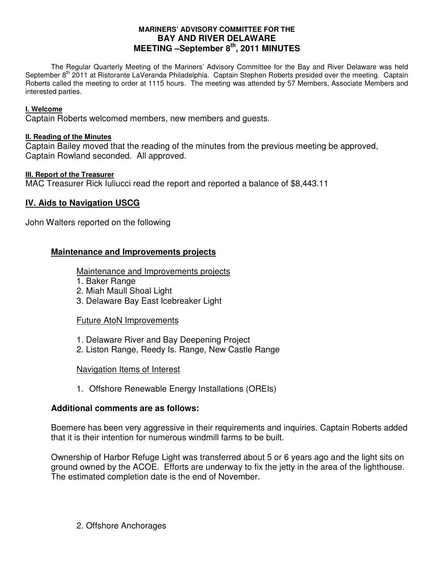## **MARINERS' ADVISORY COMMITTEE FOR THE BAY AND RIVER DELAWARE MEETING –September 8th, 2011 MINUTES**

 The Regular Quarterly Meeting of the Mariners' Advisory Committee for the Bay and River Delaware was held September 8<sup>th</sup> 2011 at Ristorante LaVeranda Philadelphia. Captain Stephen Roberts presided over the meeting. Captain Roberts called the meeting to order at 1115 hours. The meeting was attended by 57 Members, Associate Members and interested parties.

## **I. Welcome**

Captain Roberts welcomed members, new members and guests.

## **II. Reading of the Minutes**

Captain Bailey moved that the reading of the minutes from the previous meeting be approved, Captain Rowland seconded. All approved.

## **III. Report of the Treasurer**

MAC Treasurer Rick Iuliucci read the report and reported a balance of \$8,443.11

# **IV. Aids to Navigation USCG**

John Walters reported on the following

# **Maintenance and Improvements projects**

Maintenance and Improvements projects

- 1. Baker Range
- 2. Miah Maull Shoal Light
- 3. Delaware Bay East Icebreaker Light

## Future AtoN Improvements

- 1. Delaware River and Bay Deepening Project
- 2. Liston Range, Reedy Is. Range, New Castle Range

## Navigation Items of Interest

1. Offshore Renewable Energy Installations (OREIs)

## **Additional comments are as follows:**

Boemere has been very aggressive in their requirements and inquiries. Captain Roberts added that it is their intention for numerous windmill farms to be built.

Ownership of Harbor Refuge Light was transferred about 5 or 6 years ago and the light sits on ground owned by the ACOE. Efforts are underway to fix the jetty in the area of the lighthouse. The estimated completion date is the end of November.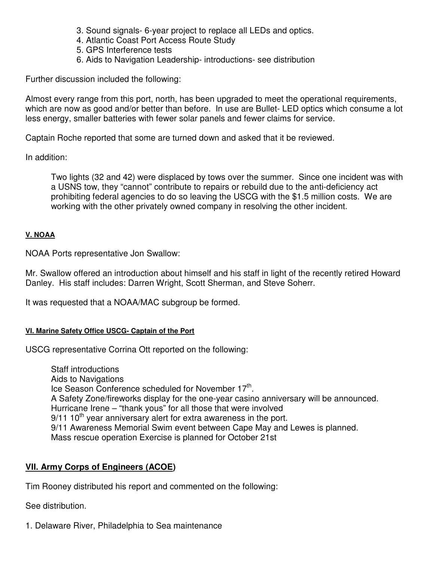- 3. Sound signals- 6-year project to replace all LEDs and optics.
- 4. Atlantic Coast Port Access Route Study
- 5. GPS Interference tests
- 6. Aids to Navigation Leadership- introductions- see distribution

Further discussion included the following:

Almost every range from this port, north, has been upgraded to meet the operational requirements, which are now as good and/or better than before. In use are Bullet- LED optics which consume a lot less energy, smaller batteries with fewer solar panels and fewer claims for service.

Captain Roche reported that some are turned down and asked that it be reviewed.

In addition:

Two lights (32 and 42) were displaced by tows over the summer. Since one incident was with a USNS tow, they "cannot" contribute to repairs or rebuild due to the anti-deficiency act prohibiting federal agencies to do so leaving the USCG with the \$1.5 million costs. We are working with the other privately owned company in resolving the other incident.

## **V. NOAA**

NOAA Ports representative Jon Swallow:

Mr. Swallow offered an introduction about himself and his staff in light of the recently retired Howard Danley. His staff includes: Darren Wright, Scott Sherman, and Steve Soherr.

It was requested that a NOAA/MAC subgroup be formed.

# **VI. Marine Safety Office USCG- Captain of the Port**

USCG representative Corrina Ott reported on the following:

 Staff introductions Aids to Navigations Ice Season Conference scheduled for November 17<sup>th</sup>. A Safety Zone/fireworks display for the one-year casino anniversary will be announced. Hurricane Irene – "thank yous" for all those that were involved  $9/11$  10<sup>th</sup> year anniversary alert for extra awareness in the port. 9/11 Awareness Memorial Swim event between Cape May and Lewes is planned. Mass rescue operation Exercise is planned for October 21st

# **VII. Army Corps of Engineers (ACOE)**

Tim Rooney distributed his report and commented on the following:

See distribution.

1. Delaware River, Philadelphia to Sea maintenance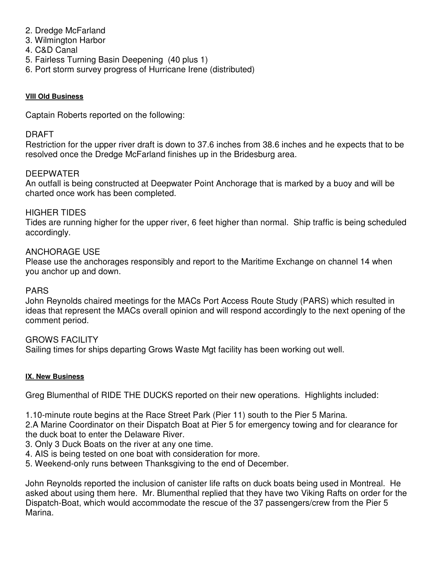- 2. Dredge McFarland
- 3. Wilmington Harbor
- 4. C&D Canal
- 5. Fairless Turning Basin Deepening (40 plus 1)
- 6. Port storm survey progress of Hurricane Irene (distributed)

## **VIII Old Business**

Captain Roberts reported on the following:

# DRAFT

Restriction for the upper river draft is down to 37.6 inches from 38.6 inches and he expects that to be resolved once the Dredge McFarland finishes up in the Bridesburg area.

# DEEPWATER

An outfall is being constructed at Deepwater Point Anchorage that is marked by a buoy and will be charted once work has been completed.

# HIGHER TIDES

Tides are running higher for the upper river, 6 feet higher than normal. Ship traffic is being scheduled accordingly.

# ANCHORAGE USE

Please use the anchorages responsibly and report to the Maritime Exchange on channel 14 when you anchor up and down.

## PARS

John Reynolds chaired meetings for the MACs Port Access Route Study (PARS) which resulted in ideas that represent the MACs overall opinion and will respond accordingly to the next opening of the comment period.

# GROWS FACILITY

Sailing times for ships departing Grows Waste Mgt facility has been working out well.

## **IX. New Business**

Greg Blumenthal of RIDE THE DUCKS reported on their new operations. Highlights included:

1.10-minute route begins at the Race Street Park (Pier 11) south to the Pier 5 Marina.

2.A Marine Coordinator on their Dispatch Boat at Pier 5 for emergency towing and for clearance for the duck boat to enter the Delaware River.

- 3. Only 3 Duck Boats on the river at any one time.
- 4. AIS is being tested on one boat with consideration for more.
- 5. Weekend-only runs between Thanksgiving to the end of December.

John Reynolds reported the inclusion of canister life rafts on duck boats being used in Montreal. He asked about using them here. Mr. Blumenthal replied that they have two Viking Rafts on order for the Dispatch-Boat, which would accommodate the rescue of the 37 passengers/crew from the Pier 5 Marina.